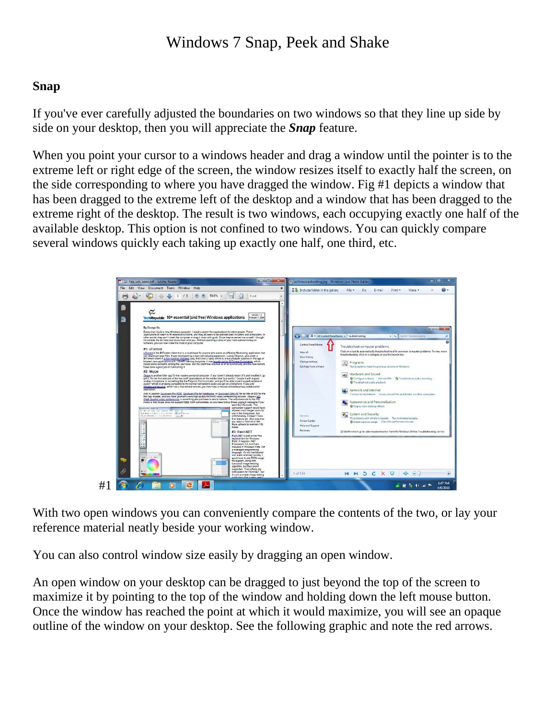## Windows 7 Snap, Peek and Shake

## **Snap**

If you've ever carefully adjusted the boundaries on two windows so that they line up side by side on your desktop, then you will appreciate the *Snap* feature.

When you point your cursor to a windows header and drag a window until the pointer is to the extreme left or right edge of the screen, the window resizes itself to exactly half the screen, on the side corresponding to where you have dragged the window. Fig #1 depicts a window that has been dragged to the extreme left of the desktop and a window that has been dragged to the extreme right of the desktop. The result is two windows, each occupying exactly one half of the available desktop. This option is not confined to two windows. You can quickly compare several windows quickly each taking up exactly one half, one third, etc.



With two open windows you can conveniently compare the contents of the two, or lay your reference material neatly beside your working window.

You can also control window size easily by dragging an open window.

An open window on your desktop can be dragged to just beyond the top of the screen to maximize it by pointing to the top of the window and holding down the left mouse button. Once the window has reached the point at which it would maximize, you will see an opaque outline of the window on your desktop. See the following graphic and note the red arrows.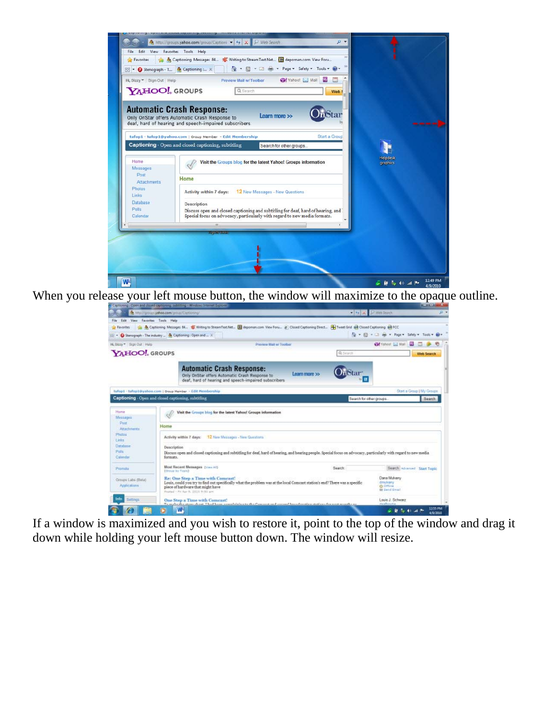

When you release your left mouse button, the window will maximize to the opaque outline.

|                                                                                                             | A http://groups.yehoo.com/group/Captioning/                                                                                                                                                                                                                | $\left  \frac{f + f}{f} \right  \leq \left  \frac{f}{f} \right $ , we have<br>$\Omega$ $\star$ |  |
|-------------------------------------------------------------------------------------------------------------|------------------------------------------------------------------------------------------------------------------------------------------------------------------------------------------------------------------------------------------------------------|------------------------------------------------------------------------------------------------|--|
| File Edit View Favorites Tools Help                                                                         |                                                                                                                                                                                                                                                            |                                                                                                |  |
| <b>Favorites</b>                                                                                            | Le Au Captioning Messages BL. S Writing to StreamText Net. (B) depoman com View Foru. 2 Closed Captioning Direct. H Tweet Grid 128 Closed Captioning 128 FCC                                                                                               |                                                                                                |  |
|                                                                                                             |                                                                                                                                                                                                                                                            | Q + 图 + 二 m + Page + Safety + Tools + Q +                                                      |  |
|                                                                                                             | Stenograph - The industry <sup>(b)</sup> Captioning: Open and  X                                                                                                                                                                                           |                                                                                                |  |
| H. Buzy * Sign Out Help                                                                                     | <b>Preview Mail w/Toolbar</b>                                                                                                                                                                                                                              | <b>Cal</b> Vahout [ Mot]                                                                       |  |
| YAHOO! GROUPS                                                                                               | Q.Search                                                                                                                                                                                                                                                   | <b>Web Search</b>                                                                              |  |
|                                                                                                             | <b>Automatic Crash Response:</b><br>Learn more >><br>Only OnStar offers Automatic Crash Response to<br>deaf, hard of hearing and speech-impaired subscribers.                                                                                              |                                                                                                |  |
|                                                                                                             | tufop1 - tufop1@yahoo.com   Oroup Member - Edit Membership                                                                                                                                                                                                 | Start a Group   My Groups                                                                      |  |
|                                                                                                             | Captioning Open and closed captioning, subtitling                                                                                                                                                                                                          | Search for other groups.<br>Search                                                             |  |
| Messages                                                                                                    |                                                                                                                                                                                                                                                            |                                                                                                |  |
| Past.<br>Attachmants<br>Photos                                                                              | Home                                                                                                                                                                                                                                                       |                                                                                                |  |
|                                                                                                             | 12 New Messages - New Questions<br>Activity within 7 days:<br>Description<br>Discuss open and closed captioning and subtitling for deaf, hard of hearing, and hearing people. Special focus on advocacy, particularly with regard to new media<br>formats. |                                                                                                |  |
|                                                                                                             | Most Recent Messages (View All)<br>Search:<br>(Oraug by Teale)                                                                                                                                                                                             | Search Advanced Start Topic                                                                    |  |
| Links<br><b>Detabase</b><br><b>Pals</b><br>Calendar<br>Pipmota<br>Groups Labs (Beta)<br><b>Acplications</b> | Re: One Step a Time with Comcast!<br>Louis, could you try to find out specifically what the problem was at the local Comcast station's end? There was a specific<br>piece of hardware that might have<br>Posted - Fri Apr 9, 2010 9:50 am                  | <b>Dana Mulvary</b><br>dmulvany<br><b>BLOTTLINE</b><br><b>Bit Switch Small</b>                 |  |
| Settings<br>Into                                                                                            | One Step a Time with Comcast!<br>To make the store shout Thad been completely to the Company and consent least best in a station of a west searcher                                                                                                        | Louis J. Schwarz<br>dualingtia                                                                 |  |

If a window is maximized and you wish to restore it, point to the top of the window and drag it down while holding your left mouse button down. The window will resize.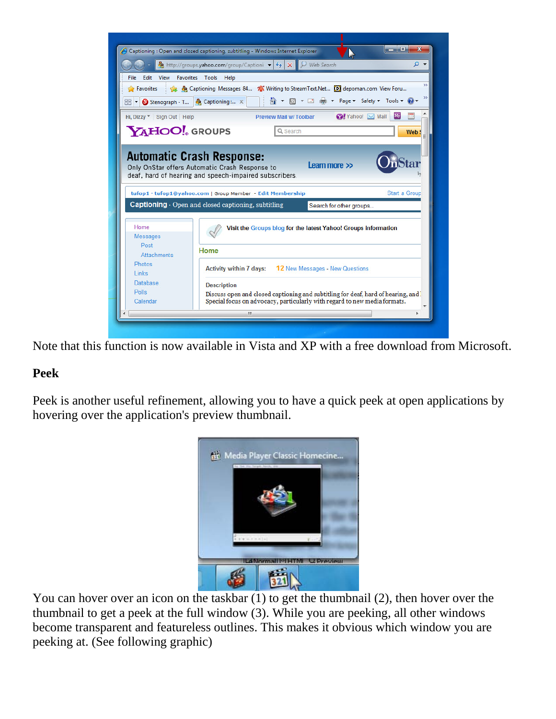|                                       | Web Search<br>▼ ⊄<br>og http://groups.yahoo.com/group/Captioni v<br>$+$<br>$\times$     |
|---------------------------------------|-----------------------------------------------------------------------------------------|
| File<br>Edit View<br><b>Favorites</b> | Tools<br>Help                                                                           |
| Favorites                             | ္တြဲ စီး Captioning Messages 84 7 Writing to Stream Text. Net (D) depoman.com View Foru |
| 88<br>Stenograph - T                  | $\frac{3}{2}$ Captioning : $\times$                                                     |
|                                       | My                                                                                      |
| Hi, Dizzy v Sign Out Help             | S2 Yahoo! ⊠ Mail<br><b>Preview Mail w/Toolbar</b>                                       |
| <b>YAHOO!</b> GROUPS                  | Q Search<br>Web                                                                         |
|                                       |                                                                                         |
|                                       |                                                                                         |
|                                       | <b>Automatic Crash Response:</b>                                                        |
|                                       | Learn more >>                                                                           |
|                                       |                                                                                         |
|                                       | Only OnStar offers Automatic Crash Response to                                          |
|                                       | deaf, hard of hearing and speech-impaired subscribers.                                  |
|                                       |                                                                                         |
|                                       | tufop1 · tufop1@yahoo.com   Group Member - Edit Membership<br><b>Start a Group</b>      |
|                                       |                                                                                         |
|                                       | <b>Captioning</b> Open and closed captioning, subtitling<br>Search for other groups     |
|                                       |                                                                                         |
|                                       |                                                                                         |
| Home                                  | Visit the Groups blog for the latest Yahoo! Groups information                          |
| <b>Messages</b>                       |                                                                                         |
| Post                                  |                                                                                         |
|                                       | Home                                                                                    |
| <b>Attachments</b>                    |                                                                                         |
| <b>Photos</b>                         |                                                                                         |
| Links                                 | <b>Activity within 7 days:</b><br><b>12</b> New Messages - New Questions                |
|                                       |                                                                                         |
| Database                              | <b>Description</b>                                                                      |
| <b>Polls</b>                          | Discuss open and closed captioning and subtitling for deaf, hard of hearing, and        |
| Calendar                              | Special focus on advocacy, particularly with regard to new media formats.               |

Note that this function is now available in Vista and XP with a free download from Microsoft.

## **Peek**

Peek is another useful refinement, allowing you to have a quick peek at open applications by hovering over the application's preview thumbnail.



You can hover over an icon on the taskbar (1) to get the thumbnail (2), then hover over the thumbnail to get a peek at the full window (3). While you are peeking, all other windows become transparent and featureless outlines. This makes it obvious which window you are peeking at. (See following graphic)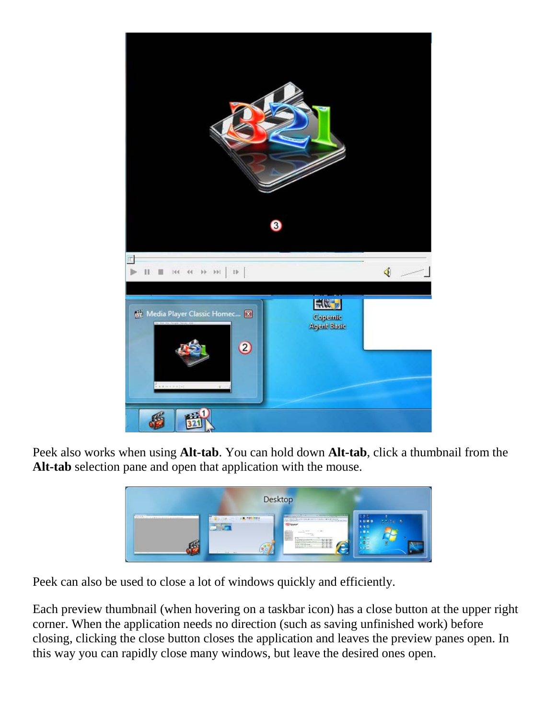

Peek also works when using **Alt-tab**. You can hold down **Alt-tab**, click a thumbnail from the **Alt-tab** selection pane and open that application with the mouse.



Peek can also be used to close a lot of windows quickly and efficiently.

Each preview thumbnail (when hovering on a taskbar icon) has a close button at the upper right corner. When the application needs no direction (such as saving unfinished work) before closing, clicking the close button closes the application and leaves the preview panes open. In this way you can rapidly close many windows, but leave the desired ones open.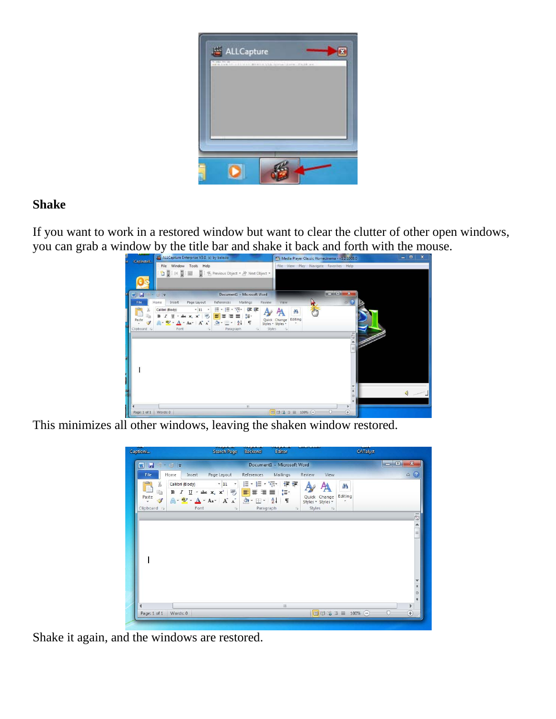

## **Shake**

If you want to work in a restored window but want to clear the clutter of other open windows, you can grab a window by the title bar and shake it back and forth with the mouse.



This minimizes all other windows, leaving the shaken window restored.

| Captioni                                                                                     | Search Page                                                                                                | <b>Backend</b><br>Editor                                                                                   |                                                                                | CATalyst                                       |
|----------------------------------------------------------------------------------------------|------------------------------------------------------------------------------------------------------------|------------------------------------------------------------------------------------------------------------|--------------------------------------------------------------------------------|------------------------------------------------|
| WIH<br>$\mathcal{L}^{\prime} = \mathcal{L}^{\prime} \mathcal{L}^{\prime}$                    |                                                                                                            | Document1 - Microsoft Word                                                                                 |                                                                                | $\Box$ e<br>$\boldsymbol{\mathbf{x}}$          |
| File<br>Home                                                                                 | Page Layout<br>Insert                                                                                      | References Mailings                                                                                        | Review<br>View                                                                 | $\triangle$ (2)                                |
| $\frac{1}{2}$<br>X<br>Calibri (Body)<br>b<br>в<br>Paste<br>$\mathcal{F}$<br>÷<br>Clipboard G | $\sqrt{11}$ $\sqrt{1}$<br>$I \subseteq Y$ abe $X_2 \times Y$<br>$A - B$ + $A - A$ + $A - A$<br>Font<br>Fa. | 狂・狂・狂い 鎮健<br>EEEEL'E<br>$\mathbf{A}$<br>$\frac{A}{Z}$<br>$\P$<br>$\mathbb{H}$ $\mathbb{R}$<br>Paragraph Fa | Æ<br>Editing<br>Quick Change<br>÷<br>Styles * Styles *<br>Styles<br>$\sqrt{2}$ |                                                |
|                                                                                              |                                                                                                            |                                                                                                            |                                                                                | $\overline{6}$<br>$\blacktriangle$<br>$\equiv$ |
|                                                                                              |                                                                                                            |                                                                                                            |                                                                                |                                                |
|                                                                                              |                                                                                                            |                                                                                                            |                                                                                |                                                |
| и                                                                                            |                                                                                                            | HH.                                                                                                        |                                                                                | v<br>$\hat{z}$<br>$\circ$<br>¥<br>r            |

Shake it again, and the windows are restored.